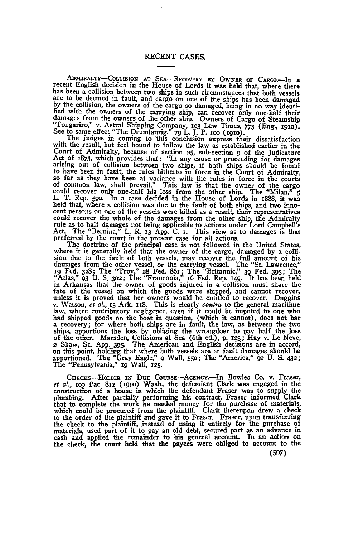ADMIRALTY-COLLISION **AT** SEA-RECOVERY BY OWNER OF CaRo.-In **<sup>a</sup>** recent English decision in the House of Lords it was held that, where there has been a collision between two ships in such circumstances that both vessels are to be deemed in fault, and cargo on one of the ships has been damaged by the collision, the owners of the cargo so damaged, being in no way fied with the owners of the carrying ship, can recover only one-half their<br>damages from the owners of the other ship. Owners of Cargo of Steamship "Tongariro," v. Astral Shipping Company, 103 Law Times, 773 (Eng., 1910).<br>See to same effect "The Drumlanrig," 79 L. J. P. 100 (1910).<br>The judges in coming to this conclusion express their dissatisfaction.

with the result, but feel bound to follow the law as established earlier in the Court of Admiralty, because of section **25,** sub-section **9** of the Judicature Act of 1873, which provides that: "In any cause or proceeding for damages<br>arising out of collision between two ships, if both ships should be found to have been in fault, the rules hitherto in force in the Court of Admiralty, so far as they have been at variance with the rules in force in the courts of common law, shall prevail." This law is that the owner of the cargo could recover only one-half his loss from the other ship. The "Milan," **<sup>5</sup>** L. T. Rep. **59o.** In a case decided in the House of Lords in 1888, it was held that, where a collision was due to the fault of both ships, and two innocent persons on one of the vessels were killed as a result, their representatives<br>could recover the whole of the damages from the other ship, the Admiralty<br>rule as to half damages not being applicable to actions under Lord

The doctrine of the principal case is not followed in the United States, where it is generally held that the owner of the cargo, damaged **by** a collision due to the fault of both vessels, may recover the full amount of his<br>damages from the other vessel, or the carrying vessel. The "St. Lawrence,"<br>19 Fed. 328; The "Troy," 28 Fed. 861; The "Britannic," 39 Fed. 395; The<br>" fate of the vessel on which the goods were shipped, and cannot recover, unless it is proved that her owners would be entitled to recover. Duggins v. Watson, *et al.*, 15 Ark. 118. This is clearly *contra* to the general ma ships, apportions the loss by obliging the wrongdoer to pay half the loss<br>of the other. Marsden, Collisions at Sea (6th ed.), p. 123; Hay v. Le Neve,<br>2 Shaw, Sc. App. 395. The American and English decisions are in accord, **Oil** this point, holding that where both vessels are at fault damages should be apportioned. The "Gray Eagle," **9** Wall, **55o;** The "America," **92 U. S. 432;** The "Pennsylvania," **i9** Wall, **125.**

CHECKS-HOLDER IN DUE COURSE-AGENCY.-In Bowles Co. v. Fraser, et *al.,* **iog** Pac. **812** (i9io) Wash., the defendant Clark was engaged in the construction of a house in which the defendant Fraser was to supply the plumbing. After partially performing his contract, Fraser informed Clark that to complete the work he needed money for the purchase of materials, whic to the order of the plaintiff and gave it to Fraser. Fraser, upon transferring the check to the plaintiff, instead of using it entirely for the purchase of materials, used part of it to pay an old debt, secured part as an advance in cash and applied the remainder to his general account. In an action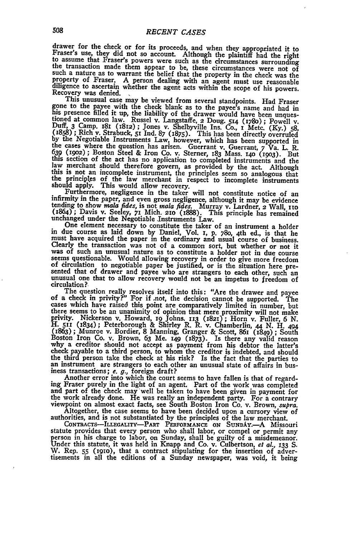drawer for the check or for its proceeds, and when they appropriated it to Fraser's use, they did not so account. Although the plaintiff had the right to assume that Fraser's powers were such as the circumstances surroundi property of Fraser. A person dealing with an agent must use reasonable diligence to ascertain whether the agent acts within the scope of his powers. Recovery was denied.

This unusual case may be viewed from several standpoints. Had Fraser Ins unusual case may be viewed iron several standpoints. That the signe to the payee with the check blank as to the payee s name and had in<br>this presence filled it up, the liability of the drawer would have been unques-<br>t

One element necessary to constitute the taker of an instrument a holder<br>in due course as laid down by Daniel, Vol. 1, p. 780, 4th ed., is that he<br>must have acquired the paper in the ordinary and usual course of business.<br>C circulation?

The question really resolves itself into this: "Are the drawer and payee of a check in privity?" For if not, the decision cannot be supported. The cases which have raised this point are comparatively limited in number, but cases when lawy cases uniquely and the comparatory interesting to be an unanimity of opinion that mere proximity will not make<br>privity. Nickerson v. Howard, 19 Johns. 113 (1821); Horn v. Fuller, 6 N.<br>H. 511 (1834); Peterb

ing Fraser purely in the light of an agent. Part of the work was completed<br>and part of the check may well be taken to have been given in payment for<br>the work already done. He was really an independent party. For a contrar

**CONTRACTS-ILLEGALITY-PART PERFORMANCE ON SUNDAY-A** Missouri statute provides that every person who shall labor, or compel or permit any person in his charge to labor, on Sunday, shall be guilty of a misdemeanor. Under this statute, it was held in Knapp and Co. v. Culbertson, *et al.*, 133 S.<br>W. Rep. 55 (1910), that a contract stipulating for the insertion of adver-<br>tisements in all the editions of a Sunday newspaper, was void, it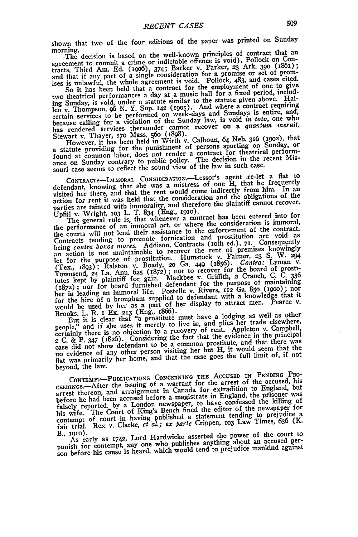shown that two of the four editions of the paper was printed on Sunday morning.

The decision is based on the well-known principles of contract that an agreement to commit a crime or indictable offence is void), Pollock on Conagreement to commit a crime or muchality Barker v. Parker, 23 Ark. 390 (1861);<br>tracts, Third Am. Ed. (1906), 374; Barker v. Parker, 23 Ark. 390 (1861);<br>and that if any part of a single consideration for a promise or set of So it has been held that a contract for the employment of one to give

two theatrical performances a day at a music hall for a fixed period, including Sunday, is void, under **a** statute similar to the statute given above. Hal-len v. Thompson, **96** *N.* Y. Sup. **142 (1905).** And where a contract requiring certain services to be performed on week-days and Sundays is entire, and, because calling for a violation of the Sunday law, is void *in* too, one who has rendered services thereunder cannot recover on a *quantum meruit*.

Stewart v. Thayer, **170** Mass. **56o** (1898). However, it has been held in Wirth v. Calhoun, 64 Neb. 316 **(i9o2),** that a statute providing for the punishment of persons sporting on Sunday, or a statute providing for the punishment of a contract for theatrical perform-<br>found at common labor, does not render a contract for theatrical perform-<br>ance on Sunday contrary to public policy. The decision in the recent Mi souri case seems to reflect the sound view of the law in such case.

**CONTRACTS-I.MORAL** CONSIDERATION.-Lessor's agent re-let a flat to defendant, knowing that she was a mistress of one H, that he frequently visited her there, and that the rent would come indirectly from him. In an action for rent it was **held** that the consideration and the obligations of the parties are tainted with immorality, and therefore the plaintiff cannot recover.

parties are tainted with initial and the use of the Upfill v. Wright, **103** L. T. 834 (Eng., 1910).<br>
The general rule is, that whenever a contract has been entered into for<br>
The general rule is, that whenever a considerati The general rule is, that whenever a contracte consideration is immoral,<br>the performance of an immoral act, or where the consideration is immoral, the courts will not lend their assistance to the enforcement of the contract. the courts will not lend then assistance to the prostitution are void as<br>Contracts tending to promote fornication and prostitution are void as Contracts tending to promote contracts (roth ed.), 71. Consequently<br>the being courta bontos mores. Addison, Contracts (roth ed.), 71. Consequently<br>let for the purpose of prostitution. Humstock v. Palmer, 23 S. W. 294<br>let f tutes kept **by** plaintiff for gain. Mackbee v. Griffith, **<sup>2</sup>**Cranch, **C. C. 36 (1872) ;** nor for board fu'rnished defendant for the purpose of maintaining her in leading an immoral life. Postelle v. Rivers, **112** Ga. 850 **(900) ;** nor for the hire of a brougham supplied to defendant with a knowledge that it for the hire of a brougham supplied to attract men. Pearce v.<br>
would be used by her as a part of her display to attract men. Pearce v.<br>
Brooks, L. R. I Ex. 213 (Eng., 1866).<br>
But it is clear that "a prostlute must have a l

But it is clear that a prostitute interest in and plies her trade elsewhere,<br>people," and if she uses it merely to live in, and plies her trade elsewhere, people," and it site uses a tunction to a recovery of rent. Appleton v. Campbell,<br>certainly there is no objection to a recovery of rent. Appleton v. Campbell,<br>2 C. & P. 347 (1826). Considering the fact that the evidence in case did not show detendant to be a common processure but H, it would seem that the role evidence of any other person visiting her but H, it would seem that the flat was primarily her home, and that the case goes the full limit **of,** if not beyond, the law.

CONTEMPT-PUBLICATIONS CONCERNING THE ACCUSED IN PENDING PRO-<br>CEEDINGS.--After the issuing of a warrant for the arrest of the accused, his arrest thereon, and arraignment in Canada for extradition to England, but before he had been accused before a magistrate in England, the prisoner was before he had been accused before a magnotic in Eightharp confessed the killing of falsely reported, by a London newspaper, to have confessed the killing of his wife. The Court of King's Bench fined the editor of the newsp contempt of court in having published a statement tending to prejudice a fair trial. Rex v. Clarke, *et al.; ex parte* Crippen, **1o3** Law Times, **636** (K.

B., **i0o).** As early as **1742,** Lord Hardwicke asserted the power of the court to punish for contempt, any one who publishes anything about an accused person before his cause is heard, which would tend to prejudice mankind against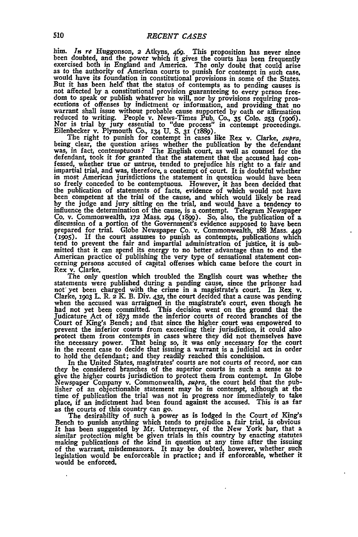him. *In re* Huggonson,  $2$  Atkyns,  $469$ . This proposition has never since been doubted, and the power which it gives the courts has been frequently exercised both in England and America. The only doubt that could arise would have its foundation in constitutional provisions in some of the States. But it has been held that the status of contempts as to pending causes is not affected by a constitutional provision guaranteeing to every person free-<br>dom to speak or publish whatever he will, nor by provisions requiring pros-<br>ecutions of offenses by indictment or information, and providing tha

Eilenbecker v. Plymouth Co., **x34 U. S. 31** (i889). The right to punish for contempt in cases like Rex v. Clarke, *.upra,* being clear, the question arises whether the publication **by** the defendant was, in fact, contemptuous? The English court, as well as counsel for the defendant, took it for granted that the statement that the accused had confessed, whether true or untrue, tended to prejudice his right to a fair an in most American jurisdictions the statement in question would have been so freely conceded to be contemptuous. However, it has been decided that the publication of statements **of** facts, evidence of which would not have been competent at the trial of the cause, and which would likely be read **by** the judge and jury sitting on the trial, and would have a tendency to influence the determination of the cause, is a contempt. Telegram Newspaper<br>Co. v. Commonwealth, 172 Mass. 294 (1899). So, also, the publication of a<br>discussion of a portion of the Government's evidence supposed to have be **(9o5).** If the court assumes to punish as contempts, publications which tend to prevent the fair and impartial administration of justice, it is sub-mitted that it can spend its energy to no better advantage than to end the American practice of publishing the very type of sensational statement con- cerning persons accused of capital offenses which came before the court in Rex v. Clarke.

The only question which troubled the English court was whether the statements were published during a pending cause, since the prisoner had<br>not yet been charged with the crime in a magistrate's court. In Rex v.<br>Clarke, 1903 L. R. 2 K. B. Div. 432, the court decided that a cause was pendin had not yet been committed. This decision went on the **ground** that the Judicature Act of **1873** made the inferior courts of record branches of the Court of King's Bench; and that since the higher court was empowered to prevent the inferior courts from exceeding their jurisdiction, it could also protect them from contempts in cases where they did not themselves have the necessary power. That being so, it was only necessary for the court in the recent case to decide that issuing a warrant is a judicial act in order to hold the defendant; and they readily reached this conclision.

In the United States, magistrates' courts are not courts of record, nor can<br>they be considered branches of the superior courts in such a sense as to<br>give the higher courts jurisdiction to protect them from contempt. In Glo Newspaper Company v. Commonwealth, *supra,* the court held that the pub- lisher of an objectionable statement may be in contempt, although at the time of publication the trial was not in progress nor immediately to take place, if an indictment had been found against the accused. This is as far place, if an indictment had been found against the accused. This is as far<br>as the courts of this country can go.<br>The desirability of such a power as is lodged in the Court of King's<br>Bench to punish anything which tends to

It has been suggested **by** Mr. Untermeyer, of the New York bar, that a similar protection might be given trials in this country **by** enacting statutes making publications of the kind in question at any time after the issuing of the warrant, misdemeanors. It may be doubted, however, whether such legislation would be enforceable in practice; and if enforceable, whether it would be enforced.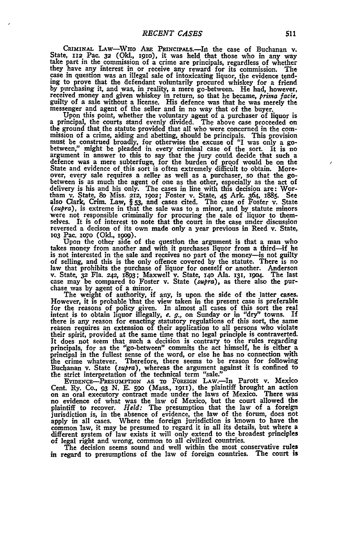CRIMINAL LAW-WHO ARE PRINCIPALS.--In the case of Buchanan v.<br>State, 112 Pac. 32 (Okl., 1910), it was held that those who in any way<br>take part in the commission of a crime are principals, regardless of whether they have any interest in or receive any reward for its commission. The case in question was an illegal sale of intoxicating liquor, the evidence tending to prove that the defendant voluntarily procured whiskey for a friend by purchasing it, and was, in reality, a mere go-between. He had, however, received money and given whiskey in return, so that he became, *prima facie*, guilty of a sale without a license. His defence was that he was merel guilty of a sale without a license. His defence was that he was merely the messenger and agent of the seller and in no way that of the buyer.

How we use the displace of liquor is<br>a principal, the courts stand evenly divided. The above case proceeded on<br>the ground that the statute provided that all who were concerned in the com-<br>mission of a crime, aiding and abe must be construed broadly, for otherwise the excuse of "I was only a go-<br>between," might be pleaded in every criminal case of the sort. It is no<br>between," might be pleaded in every criminal case of the sort. It is no<br>argum State and evidence of this sort is often extremely difficult to obtain. Moreover, every sale requires a seller as well as a purchaser, so that the go- between is as much the agent of one as the other, especially as the act of delivery is his and his only. The cases in line with this decision are: Wor-tham **v.** State, **8o** Miss. **212, 192o;** Foster v. State, 45 Ark. 364, 1885. See also Clark, Crim. Law, § 53, and cases cited. The case of Foster v. State (supra), is extreme in that the sale was to a minor, and by statute minors were not responsible criminally for procuring the sale of liquor to themselves. It is of interest to note that the court in the case under discussion reversed a decison of its own made only a year previous in Reed v. State, **103** Pac. **1o7O (Okl., 1909).**

Upon the other side of the question the argument is that a man who takes money from another and with it purchases liquor from a third-if he is not interested in the sale and receives no part of the money—is not guilty<br>of selling, and this is the only offence covered by the statute. There is no<br>law that prohibits the purchase of liquor for oneself or another.

The weight of authority, if any, is upon. the side of the latter cases. However, it is probable that the view taken in the present case is preferable intent is to obtain liquor illegally, *e. g.,* on Sunday or in "dry" towns. If there is **any** reason for enacting statutory regulations of this sort, the same reason requires an extension of their application to all persons who violate their spirit, provided at the same time that no legal principle is contraverted. It does not seem that such a decision is contrary to the rules regarding<br>principals, for as the "go-between" commits the act himself, he is either a<br>principal in the fullest sense of the word, or else he has no connection the crime whatever. Therefore, there seems to be reason for following Buchanan v. State (supra), whereas the argument against it is confined to the strict interpretation of the technical term "sale."

EVIDENCE-PRESUMPTION AS TO FOREIGN LAW.-In Parott v. Mexico Cent. Ry. Co., 93 N. E. 590 (Mass., 1911), the plaintiff brought an action<br>on an oral executory contract made under the laws of Mexico. There was<br>no evidence of what was the law of Mexico, but the court allowed the plaintiff to recover. *Held:* The presumption that the law of a foreign jurisdiction is, in the absence of evidence, the law of the forum, does not apply in all cases. Where the foreign jurisdiction is known to have the common law, it may be presumed to regard it in all its details, but where a different system of law exists it will only extend to the broadest princip different system of law exists it will only extend to the broadest principles of legal right and wrong, common to all civilized countries.

The decision seems sound and well within the most conservative rules in regard to presumptions of the law of foreign countries. The court is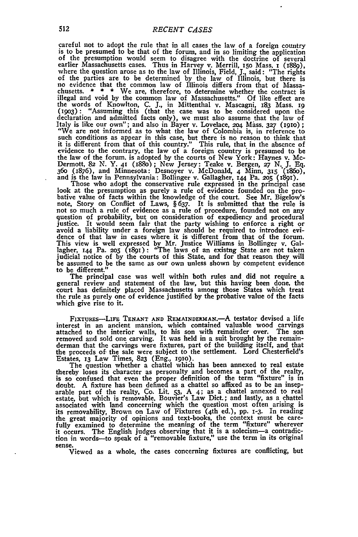careful not to adopt the rule that in all cases the law of a foreign country is to be presumed to be that of the forum, and in so limiting the application is to be presumed to be that of the forum, and in so limiting the application<br>of the presumption would seem to disagree with the doctrine of several<br>earlier Massachusetts cases. Thus in Harvey v. Merrill, 150 Mass, 1 (1889 where the question arose as to the law of Illinois, Field, J., said: "The rights<br>of the parties are to be determined by the law of Illinois, but there is<br>no evidence that the common law of Illinois differs from that of Mas chusetts. \* \* \* We are, therefore, to determine whether the contract is<br>illegal and void by the common law of Massachusetts." Of like effect are<br>the words of Knowlton, C. J., in Mittenthal v. Mascagni, 183 Mass. 19<br>(1903): declaration and admitted facts only), we must also assume that the law of Italy is like our own"; and also in Bayer v. Lovelace, 204 Mass. 327 (1910);<br>"We are not informed as to what the law of Colombia is, in reference to such conditions as appear in this case, but there is no reason to think t such conditions as appear in this case, but there is no reason to think that it is different from that of this country." This rule, that in the absence of evidence to the contrary, the law of a foreign country is presumed to be the law of the forum, is adopted **by** the courts of New York: Haynes v. Mc-Dermott, **82 N. Y. 41** (i88o); New Jersey: Teake v. Bergen, **27 N. J. Eq.** 360 (1876), and Minnesota: Desnoyer v. McDonald, 4 Minn, 315 (1860), and is the law in Pennsylvania: Bollinger v. Gallagher, 144 Pa. 205 (1891).<br>Those who adopt the conservative rule expressed in the principal case<br>look at

bative value of facts within the knowledge of the court. See Mr. Bigelow's note, Story on Conflict of Laws, **§ 637.** It is submitted that the rule is not so much a rule of evidence as a rule of procedure, founded not on any<br>question of probability, but on consideration of expediency and procedural<br>justice. It would seem fair that the party wishing to enforce a right or<br> This view is well expressed **by Mr.** Justice Williams in Bollinger v. Gal-lagher, **144** Pa. **2o5 (891):** "The laws of an existug State are not taken judicial notice of **by** the courts of this State, and for that reason they will be assumed to be the same as our own unless shown **by** competent evidence to be different."

The principal case was well within both rules and did not require a general review and statement of the law, but this having been done, the court has definitely placed Massachusetts among those States which treat the rule as purely one of evidence justified **by** the probative value of the facts which give rise to it.

FiXTUREs-LWE **TENANT AND REMAINDERMA.-A** testator devised a life interest in an ancient mansion, which contained valuable wood carvings attached to the interior walls, to his son with remainder over. The son<br>removed and sold one carving. It was held in a suit brought by the remain-<br>derman that the carvings were fixtures, part of the building itself, and th the proceeds **of-** the sale were subject to the settlement. Lord Chesterfield's

Estates, 13 Law Times, 823 (Eng., 1910).<br>The question whether a chattel which has been annexed to real estate<br>thereby loses its character as personalty and becomes a part of the realty,<br>is so confused that even the proper doubt. **A** fixture has been defined as a chattel so affixed as to be an insep- arable part of the realty, Co. Lit. **53, A** 4; as a chattel annexed to real arable part of the realty, Co. Lit. 53, A 4; as a chattel annexed to real estate, but which is removable. Bouvier's Law Dict.; and lastly, as a chattel associated with land concerning which the question most often arising is its removability, Brown on Law of Fixtures (4th ed.), pp. 1-3. In reading<br>the great majority of opinions and text-books, the context must be care-<br>fully examined to determine the meaning of the term "fixture" wherever it occurs. The English judges observing that it is a solecism—a contradiction in words—to speak of a "removable fixture," use the term in its original sense.<br>Sense. Viewed as a whole, the cases concerning fixtures are conf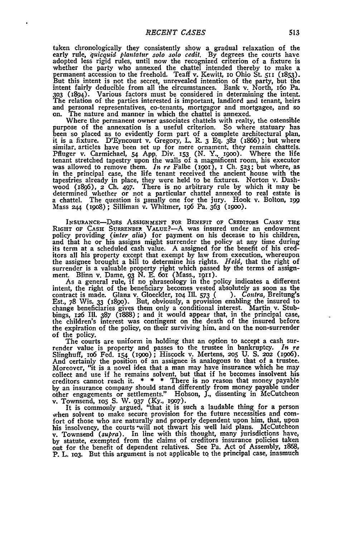taken chronologically they consistently show a gradual relaxation of the early rule, *quicquid plantatur solo solo cedit*. By degrees the courts have adopted less rigid rules, until now the recognized criterion of a fixtur permanent accession to the freehold. Teaff v. Kewitt, **10** Ohio St. **511** (1853). But this intent is not the secret, unrevealed intention of the party, but the intent fairly deducible from all the circumstances. Bank v. North, i6o Pa. **303** (894). Various factors must be considered in determining the intent. The relation of the parties interested is important, landlord and tenant, heirs and personal representatives, co-tenants, mortgagor and mortgagee, and so on. The nature and manner in which the chattel is annexed.

Where the permanent owner associates chattels with realty, the ostensible purpose of the annexation is a useful criterion. So where statuary has been so placed as to evidently form part of a complete architectural plan,<br>it is a fixture. D'Eyncourt v. Gregory, L. R. 3 Eq. 382 (1866); but where<br>similar, articles have been set up for mere ornament, they remain chattel tenant stretched tapestry upon the walls of a magnificent room, his executor was allowed to remove them. *In re* Falbe (1901), I Ch. 523; but where, as in the principal case, the life tenant received the ancient house with the tapesfries already in place, they were held to be fixtures. Norton v. Dashwood (1896), 2 Ch. 497. There is no arbitrary rule by which it may be determined whether or not a particular chattel amenced to real estate is a cha

INSURANCE-DOES ASSIGNMENT FOR BENEFIT OF CREDITORS CARRY THE<br>RIGHT OF CASH SURRENDER VALUE?--A was insured under an endowment<br>policy providing (inter alia) for payment on his decease to his children,<br>and that he or his ass itors all his property except that exempt by law from execution, whereupor the assignee brought a bill to determine his rights. *Held,* that the right of surrender is a valuable property right which passed **by** the terms of assign-ment. Blinn v. Dame, **93 N. E.** 6oi (Mass., 1911).

As a general rule, if no phraseology in the policy indicates a different intent, the right of the beneficiary becomes vested absolutely as soon as the contract is made. Glanz v. Gloeckler, **104** Ill. **573** *( ). Contra,* Breitung's **Est.,** *78* Wis. **33 (1890). But, obviously, a provision enabling the** insured to **change beneficiaries gives them only** a **conditional interest.** Martin v. Stub-**bings,** *126* **Ill.** *387* **(1888); and it would appear that, in the** principal case, the **children's interest was contingent on the death of** the insured before **the expiration of the policy, on their surviving him, and on the** non-surrender **of the policy.**

**The courts are uniform in holding that an option to accept** a cash sur**render value is property and passes to the trustee in** bankruptcy. In re Slinghuff, io6 Fed. **54 (19o);** Hiscock v. Mertens, **2o5 U. S. 2o2 (9o6).** And certainly the position of an assignee is analogous to that of a trustee. Moreover, "it is a novel idea that a **man** may have insurance which he may collect and use if he remains solvent, but that if he becomes insolvent his creditors cannot reach it. **\* \* \*** There is no reason that money payable **by** an insurance company should stand differently from money payable under other engagements or settlements." Hobson, **J.,** dissenting in McCutcheon **v.** Townsend, **IO5 S.** W. **937** (Ky., **19o7).** It is commonly argued, "that it is such a laudable thing for a person

when solvent to make secure provision for the future necessities and comfort of those who are naturally and properly dependent upon him, that, upon his insolvency, the courts will not thwart his well laid plans. McCutcheor w. Townsend (supra). In line with this thought, many jurisdictions have, by statute, exempted from the claims of creditors insurance policies taken out for the benefit of dependent relatives. See Pa. Act of Assembly, 1868. P. L. 103. But this argument is not applicable to the principal case, inasmuch